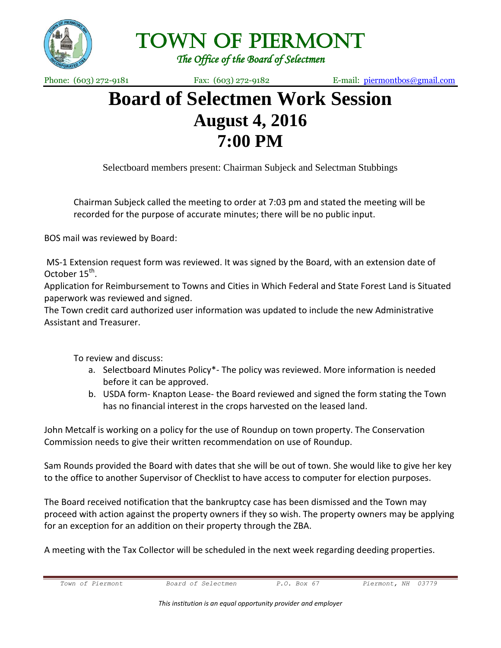

Town of Piermont

*The Office of the Board of Selectmen* 

Phone: (603) 272-9181 Fax: (603) 272-9182 E-mail: [piermontbos@gmail.com](mailto:piermontbos@gmail.com)

## **Board of Selectmen Work Session August 4, 2016 7:00 PM**

Selectboard members present: Chairman Subjeck and Selectman Stubbings

Chairman Subjeck called the meeting to order at 7:03 pm and stated the meeting will be recorded for the purpose of accurate minutes; there will be no public input.

BOS mail was reviewed by Board:

MS-1 Extension request form was reviewed. It was signed by the Board, with an extension date of October 15<sup>th</sup>.

Application for Reimbursement to Towns and Cities in Which Federal and State Forest Land is Situated paperwork was reviewed and signed.

The Town credit card authorized user information was updated to include the new Administrative Assistant and Treasurer.

To review and discuss:

- a. Selectboard Minutes Policy\*- The policy was reviewed. More information is needed before it can be approved.
- b. USDA form- Knapton Lease- the Board reviewed and signed the form stating the Town has no financial interest in the crops harvested on the leased land.

John Metcalf is working on a policy for the use of Roundup on town property. The Conservation Commission needs to give their written recommendation on use of Roundup.

Sam Rounds provided the Board with dates that she will be out of town. She would like to give her key to the office to another Supervisor of Checklist to have access to computer for election purposes.

The Board received notification that the bankruptcy case has been dismissed and the Town may proceed with action against the property owners if they so wish. The property owners may be applying for an exception for an addition on their property through the ZBA.

A meeting with the Tax Collector will be scheduled in the next week regarding deeding properties.